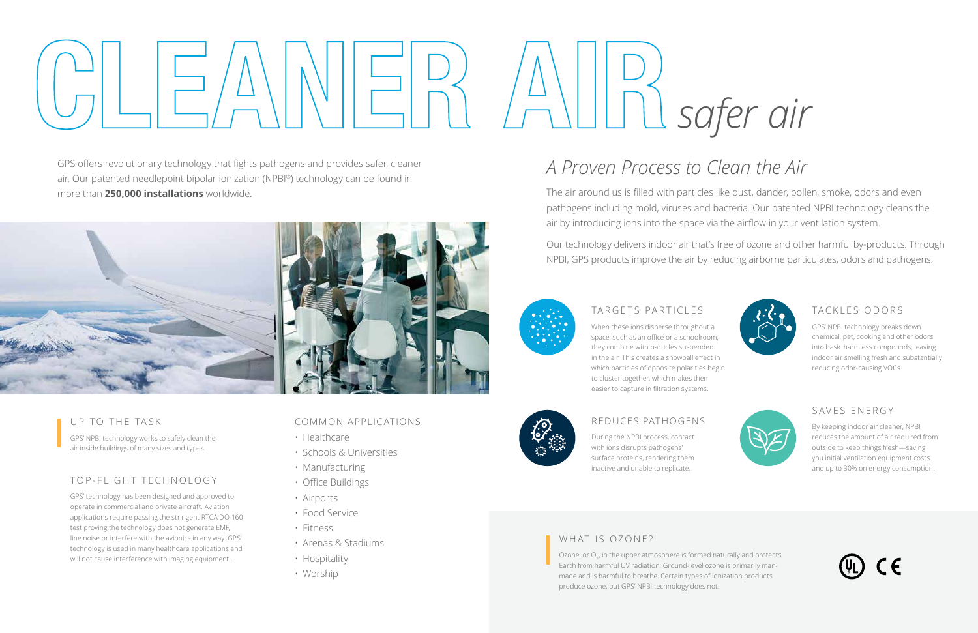# **CLEANER AIR**

### COMMON APPLICATIONS

- Healthcare
- Schools & Universities
- Manufacturing
- Office Buildings
- Airports
- Food Service
- Fitness
- Arenas & Stadiums
- Hospitality
- Worship

# *A Proven Process to Clean the Air*

Our technology delivers indoor air that's free of ozone and other harmful by-products. Through NPBI, GPS products improve the air by reducing airborne particulates, odors and pathogens.



The air around us is filled with particles like dust, dander, pollen, smoke, odors and even pathogens including mold, viruses and bacteria. Our patented NPBI technology cleans the air by introducing ions into the space via the airflow in your ventilation system.

GPS offers revolutionary technology that fights pathogens and provides safer, cleaner air. Our patented needlepoint bipolar ionization (NPBI®) technology can be found in more than **250,000 installations** worldwide.



### TARGETS PARTICLES

When these ions disperse throughout a space, such as an office or a schoolroom, they combine with particles suspended in the air. This creates a snowball effect in which particles of opposite polarities begin to cluster together, which makes them easier to capture in filtration systems.



Ozone, or  $O_{3}$ , in the upper atmosphere is formed naturally and protects Earth from harmful UV radiation. Ground-level ozone is primarily manmade and is harmful to breathe. Certain types of ionization products produce ozone, but GPS' NPBI technology does not.



During the NPBI process, contact with ions disrupts pathogens' surface proteins, rendering them inactive and unable to replicate.

### TACKLES ODORS

GPS' NPBI technology breaks down chemical, pet, cooking and other odors into basic harmless compounds, leaving indoor air smelling fresh and substantially reducing odor-causing VOCs.



### SAVES ENERGY

By keeping indoor air cleaner, NPBI reduces the amount of air required from outside to keep things fresh—saving you initial ventilation equipment costs and up to 30% on energy consumption.



*safer air*



### TOP-FLIGHT TECHNOLOGY

GPS' technology has been designed and approved to operate in commercial and private aircraft. Aviation applications require passing the stringent RTCA DO-160 test proving the technology does not generate EMF, line noise or interfere with the avionics in any way. GPS' technology is used in many healthcare applications and will not cause interference with imaging equipment.

### UP TO THE TASK

GPS' NPBI technology works to safely clean the air inside buildings of many sizes and types.

### WHAT IS OZONE?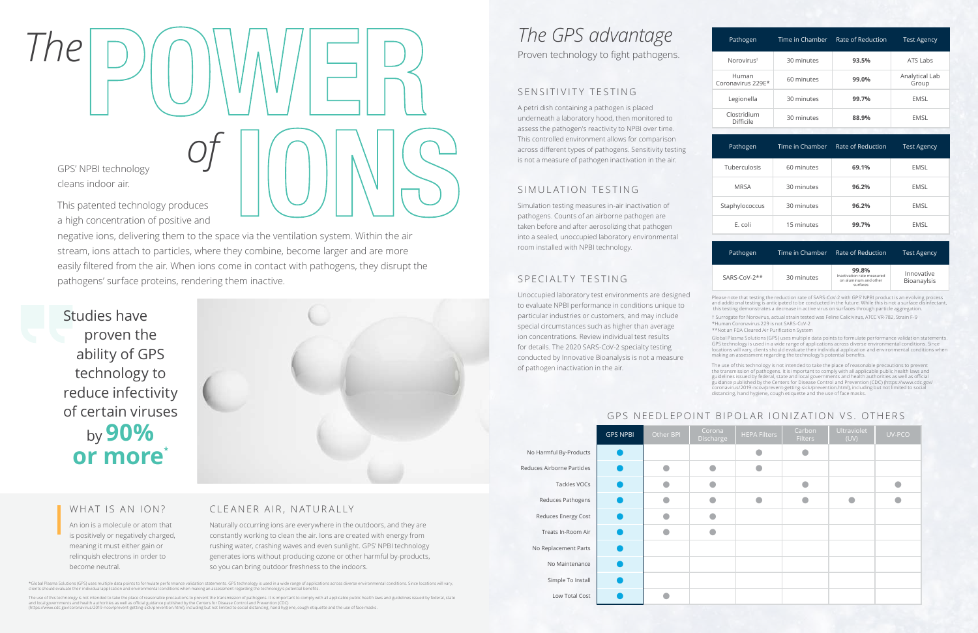# *The GPS advantage*

Proven technology to fight pathogens.

### WHAT IS AN ION?

An ion is a molecule or atom that is positively or negatively charged, meaning it must either gain or relinquish electrons in order to become neutral.

### SENSITIVITY TESTING

A petri dish containing a pathogen is placed underneath a laboratory hood, then monitored to assess the pathogen's reactivity to NPBI over time. This controlled environment allows for comparison across different types of pathogens. Sensitivity testing is not a measure of pathogen inactivation in the air.

### SIMULATION TESTING

Simulation testing measures in-air inactivation of pathogens. Counts of an airborne pathogen are taken before and after aerosolizing that pathogen into a sealed, unoccupied laboratory environmental room installed with NPBI technology.

### SPECIALTY TESTING

No Harmful By-Prod Reduces Airborne Part

Reduces Energy

No Replacement

Unoccupied laboratory test environments are designed to evaluate NPBI performance in conditions unique to particular industries or customers, and may include special circumstances such as higher than average ion concentrations. Review individual test results for details. The 2020 SARS-CoV-2 specialty testing conducted by Innovative Bioanalysis is not a measure of pathogen inactivation in the air.

# *The***POWER**   $\mathcal{O}\left(\bigcup_{\text{duces}}\bigcup_{\text{duces}}\bigcup_{\text{uucas}}\bigcup_{\text{uucas}}\bigcup_{\text{uucas}}\bigcup_{\text{uucas}}\bigcup_{\text{uucas}}\bigcup_{\text{uucas}}\bigcup_{\text{uucas}}$ GPS' NPBI️ technology cleans indoor air. This patented technology produces

|                      | <b>GPS NPBI</b> | Other BPI | Corona<br>Discharge | <b>HEPA Filters</b> | Carbon<br><b>Filters</b> | Ultraviolet<br>(UV) | UV-PCO |
|----------------------|-----------------|-----------|---------------------|---------------------|--------------------------|---------------------|--------|
| larmful By-Products  |                 |           |                     |                     |                          |                     |        |
| s Airborne Particles |                 |           |                     |                     |                          |                     |        |
| Tackles VOCs         |                 |           |                     |                     |                          |                     |        |
| Reduces Pathogens    |                 |           |                     | a                   |                          |                     |        |
| educes Energy Cost   |                 |           |                     |                     |                          |                     |        |
| Treats In-Room Air   |                 |           |                     |                     |                          |                     |        |
| Replacement Parts    |                 |           |                     |                     |                          |                     |        |
| No Maintenance       |                 |           |                     |                     |                          |                     |        |
| Simple To Install    |                 |           |                     |                     |                          |                     |        |
| Low Total Cost       |                 |           |                     |                     |                          |                     |        |

### CLEANER AIR, NATURALLY

Naturally occurring ions are everywhere in the outdoors, and they are constantly working to clean the air. Ions are created with energy from rushing water, crashing waves and even sunlight. GPS' NPBI technology generates ions without producing ozone or other harmful by-products, so you can bring outdoor freshness to the indoors.

\*Global Plasma Solutions (GPS) uses multiple data points to formulate performance validation statements. GPS technology is used in a wide range of applications across diverse environmental conditions. Since locations will

The use of this technology is not intended to take the place of reasonable precautions to prevent the transmission of pathogens. It is important to comply with all applicable public health laws and guidelines issued by fed

a high concentration of positive and

negative ions, delivering them to the space via the ventilation system. Within the air stream, ions attach to particles, where they combine, become larger and are more easily filtered from the air. When ions come in contact with pathogens, they disrupt the pathogens' surface proteins, rendering them inactive.

Studies have proven the ability of GPS technology to reduce infectivity of certain viruses by **90% or more \***



| Pathogen                   | Time in Chamber | Rate of Reduction | <b>Test Agency</b>      |
|----------------------------|-----------------|-------------------|-------------------------|
| Norovirus <sup>t</sup>     | 30 minutes      | 93.5%             | ATS Labs                |
| Human<br>Coronavirus 229E* | 60 minutes      | 99.0%             | Analytical Lab<br>Group |
| Legionella                 | 30 minutes      | 99.7%             | EMSL                    |
| Clostridium<br>Difficile   | 30 minutes      | 88.9%             | EMSL                    |

| Pathogen       | Time in Chamber | Rate of Reduction | <b>Test Agency</b> |
|----------------|-----------------|-------------------|--------------------|
| Tuberculosis   | 60 minutes      | 69.1%             | <b>EMSL</b>        |
| <b>MRSA</b>    | 30 minutes      | 96.2%             | <b>EMSL</b>        |
| Staphylococcus | 30 minutes      | 96.2%             | <b>EMSL</b>        |
| E. coli        | 15 minutes      | 99.7%             | EMSL               |

| Pathogen       | Time in Chamber | Rate of Reduction                                                        | <b>Test Agency</b>        |
|----------------|-----------------|--------------------------------------------------------------------------|---------------------------|
| $SARS-CoV-2**$ | 30 minutes      | 99.8%<br>Inactivation rate measured<br>on aluminum and other<br>surfaces | Innovative<br>Bioanaylsis |

† Surrogate for Norovirus, actual strain tested was Feline Calicivirus, ATCC VR-782, Strain F-9 \*Human Coronavirus 229 is not SARS-CoV-2

\*\*Not an FDA Cleared Air Purification System

Please note that testing the reduction rate of SARS-CoV-2 with GPS' NPBI product is an evolving process and additional testing is anticipated to be conducted in the future. While this is not a surface disinfectant this testing demonstrates a decrease in active virus on surfaces through particle aggregation.

Global Plasma Solutions (GPS) uses multiple data points to formulate performance validation statements. GPS technology is used in a wide range of applications across diverse environmental conditions. Since locations will vary, clients should evaluate their individual application and environmental conditions when making an assessment regarding the technology's potential benefits.

The use of this technology is not intended to take the place of reasonable precautions to prevent the transmission of pathogens. It is important to comply with all applicable public health laws and<br>guidelines issued by federal, state and local governments and health authorities as well as official<br>guidance published by coronavirus/2019-ncov/prevent-getting-sick/prevention.html), including but not limited to social distancing, hand hygiene, cough etiquette and the use of face masks.

### GPS NEEDLEPOINT BIPOLAR IONIZATION VS. OTHERS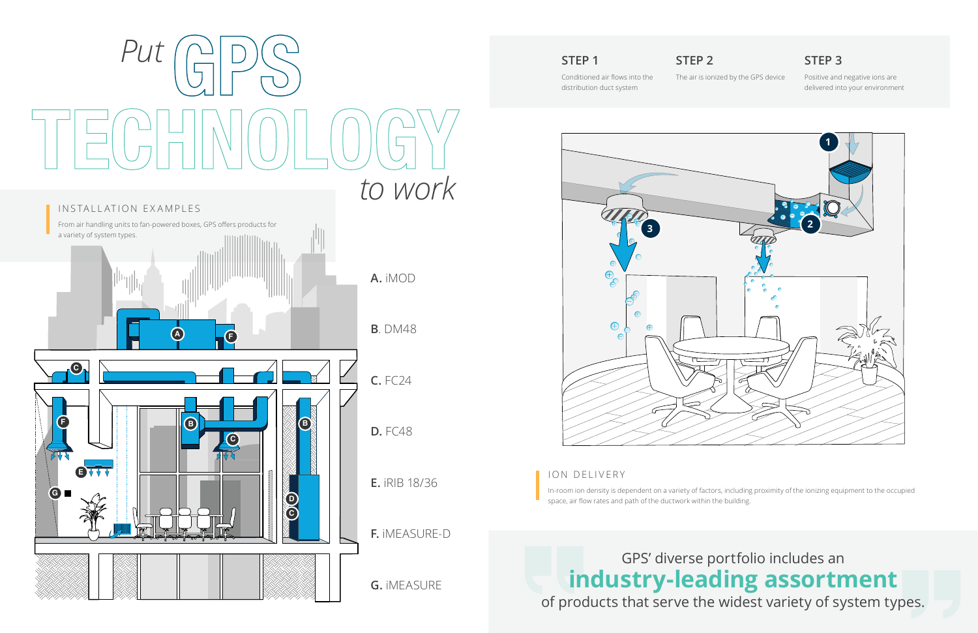### **STEP 1**

Conditioned air flows into the distribution duct system

**STEP 2**

The air is ionized by the GPS device

### **STEP 3**

Positive and negative ions are delivered into your environment

### ION DELIVERY

In-room ion density is dependent on a variety of factors, including proximity of the ionizing equipment to the occupied space, air flow rates and path of the ductwork within the building.



# GPS' diverse portfolio includes an **industry-leading assortment**  of products that serve the widest variety of system types.

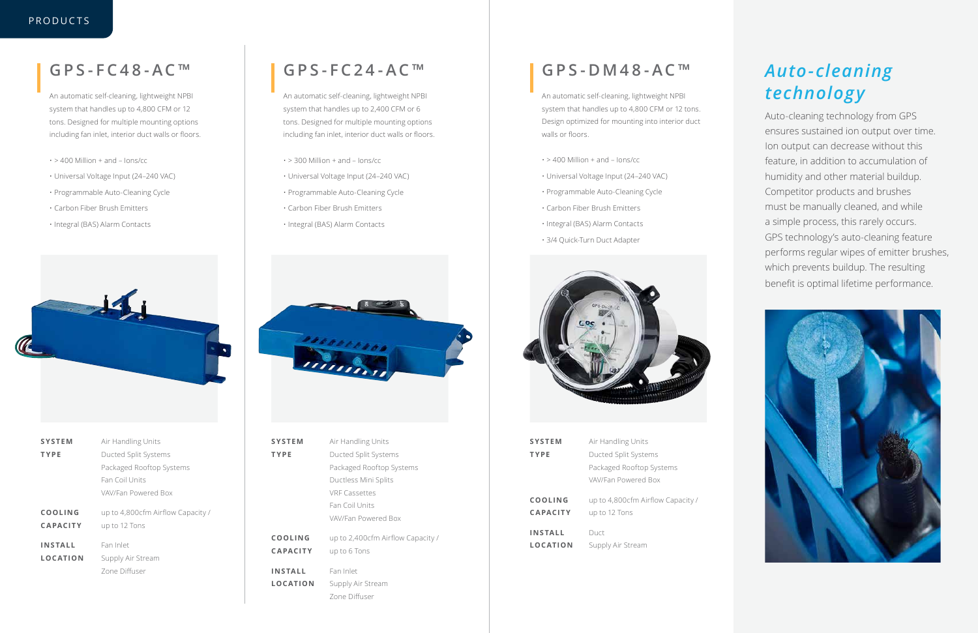## **GPS-FC48-AC™**

An automatic self-cleaning, lightweight NPBI system that handles up to 4,800 CFM or 12 tons. Designed for multiple mounting options including fan inlet, interior duct walls or floors.

- $\cdot$  > 400 Million + and lons/cc
- Universal Voltage Input (24–240 VAC)
- Programmable Auto-Cleaning Cycle
- Carbon Fiber Brush Emitters
- Integral (BAS) Alarm Contacts



- $\cdot$  > 300 Million + and lons/cc
- Universal Voltage Input (24–240 VAC)
- Programmable Auto-Cleaning Cycle
- Carbon Fiber Brush Emitters
- Integral (BAS) Alarm Contacts



# **GPS-FC24-AC™**

An automatic self-cleaning, lightweight NPBI system that handles up to 2,400 CFM or 6 tons. Designed for multiple mounting options including fan inlet, interior duct walls or floors.

| <b>SYSTEM</b>   | Air Handling Units                |
|-----------------|-----------------------------------|
| <b>TYPE</b>     | Ducted Split Systems              |
|                 | Packaged Rooftop Systems          |
|                 | Ductless Mini Splits              |
|                 | <b>VRF Cassettes</b>              |
|                 | Fan Coil Units                    |
|                 | VAV/Fan Powered Box               |
|                 |                                   |
| <b>COOLING</b>  | up to 2,400cfm Airflow Capacity / |
| <b>CAPACITY</b> | up to 6 Tons                      |
|                 |                                   |
| <b>INSTALL</b>  | Fan Inlet                         |
| <b>LOCATION</b> | Supply Air Stream                 |
|                 | Zone Diffuser                     |

- $\cdot$  > 400 Million + and lons/cc
- Universal Voltage Input (24–240 VAC)
- Programmable Auto-Cleaning Cycle
- Carbon Fiber Brush Emitters
- Integral (BAS) Alarm Contacts
- 3/4 Quick-Turn Duct Adapter



| <b>SYSTEM</b>                     | Air Handling Units                                 |
|-----------------------------------|----------------------------------------------------|
| <b>TYPE</b>                       | Ducted Split Systems                               |
|                                   | Packaged Rooftop Systems                           |
|                                   | Fan Coil Units                                     |
|                                   | VAV/Fan Powered Box                                |
| COOLING<br><b>CAPACITY</b>        | up to 4,800cfm Airflow Capacity /<br>up to 12 Tons |
| <b>INSTALL</b><br><b>LOCATION</b> | Fan Inlet<br>Supply Air Stream<br>Zone Diffuser    |
|                                   |                                                    |

| <b>SYSTEM</b>              | Air Handling Units                                 |
|----------------------------|----------------------------------------------------|
| TYPE                       | Ducted Split Systems                               |
|                            | Packaged Rooftop Systems                           |
|                            | VAV/Fan Powered Box                                |
| COOLING<br><b>CAPACITY</b> | up to 4,800cfm Airflow Capacity /<br>up to 12 Tons |
| <b>INSTALL</b><br>LOCATION | Duct<br>Supply Air Stream                          |

# **GPS-DM48-AC™**

An automatic self-cleaning, lightweight NPBI system that handles up to 4,800 CFM or 12 tons. Design optimized for mounting into interior duct walls or floors.

# *Auto-cleaning technology*

Auto-cleaning technology from GPS ensures sustained ion output over time. Ion output can decrease without this feature, in addition to accumulation of humidity and other material buildup. Competitor products and brushes must be manually cleaned, and while a simple process, this rarely occurs. GPS technology's auto-cleaning feature performs regular wipes of emitter brushes, which prevents buildup. The resulting benefit is optimal lifetime performance.



### PRODUCTS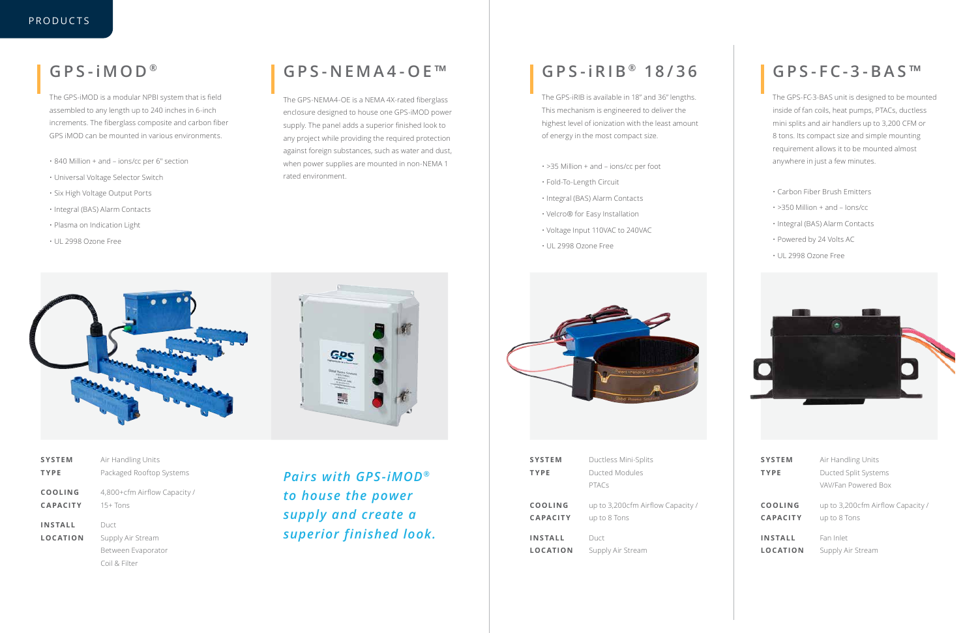| <b>SYSTEM</b>   | Air Handling Units                  |
|-----------------|-------------------------------------|
| <b>TYPE</b>     | Packaged Rooftop Systems            |
| COOLING         | 4,800+cfm Airflow Capacity /        |
| <b>CAPACITY</b> | $15+Tons$                           |
| INSTALL         | Duct                                |
| <b>LOCATION</b> | Supply Air Stream                   |
|                 | Between Evaporator<br>Coil & Filter |

# **GPS- iMOD ®**

The GPS-iMOD is a modular NPBI system that is field assembled to any length up to 240 inches in 6-inch increments. The fiberglass composite and carbon fiber GPS iMOD can be mounted in various environments.

- 840 Million + and ions/cc per 6" section
- Universal Voltage Selector Switch
- Six High Voltage Output Ports
- Integral (BAS) Alarm Contacts
- Plasma on Indication Light
- UL 2998 Ozone Free



# **GPS-NEMA4-OE™**

The GPS-NEMA4-OE is a NEMA 4X-rated fiberglass enclosure designed to house one GPS-iMOD power supply. The panel adds a superior finished look to any project while providing the required protection against foreign substances, such as water and dust, when power supplies are mounted in non-NEMA 1 rated environment.

| <b>SYSTEM</b>   | Ductless Mini-Splits              |
|-----------------|-----------------------------------|
| <b>TYPE</b>     | Ducted Modules                    |
|                 | <b>PTACs</b>                      |
| COOLING         | up to 3,200cfm Airflow Capacity / |
| <b>CAPACITY</b> | up to 8 Tons                      |
| <b>INSTALL</b>  | Duct                              |
| <b>LOCATION</b> | Supply Air Stream                 |



| <b>SYSTEM</b><br><b>TYPE</b>      | Air Handling Units<br>Ducted Split Systems        |
|-----------------------------------|---------------------------------------------------|
|                                   | VAV/Fan Powered Box                               |
| <b>COOLING</b><br><b>CAPACITY</b> | up to 3,200cfm Airflow Capacity /<br>up to 8 Tons |
| <b>INSTALL</b>                    | Fan Inlet                                         |
| <b>LOCATION</b>                   | Supply Air Stream                                 |

# **GPS- iRIB ® 18/36**

The GPS-iRIB is available in 18" and 36" lengths. This mechanism is engineered to deliver the highest level of ionization with the least amount of energy in the most compact size.

- >35 Million + and ions/cc per foot
- Fold-To-Length Circuit
- Integral (BAS) Alarm Contacts
- Velcro® for Easy Installation
- Voltage Input 110VAC to 240VAC
- UL 2998 Ozone Free



# **GPS-FC-3-BAS™**

The GPS-FC-3-BAS unit is designed to be mounted inside of fan coils, heat pumps, PTACs, ductless mini splits and air handlers up to 3,200 CFM or 8 tons. Its compact size and simple mounting requirement allows it to be mounted almost anywhere in just a few minutes.

- Carbon Fiber Brush Emitters
- >350 Million + and Ions/cc
- Integral (BAS) Alarm Contacts
- Powered by 24 Volts AC
- UL 2998 Ozone Free



*Pairs with GPS-iMOD® to house the power supply and create a superior finished look.*